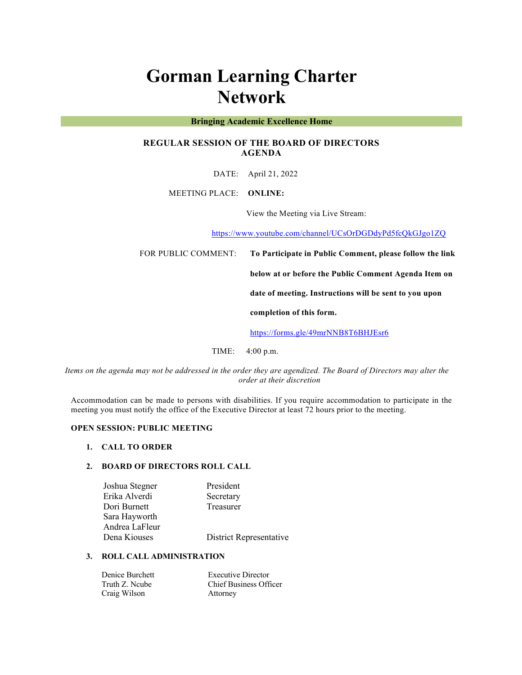# **Gorman Learning Charter Network**

## **Bringing Academic Excellence Home**

# **REGULAR SESSION OF THE BOARD OF DIRECTORS AGENDA**

DATE: April 21, 2022

MEETING PLACE: **ONLINE:** 

View the Meeting via Live Stream:

https://www.youtube.com/channel/UCsOrDGDdyPd5fcQkGJgo1ZQ

FOR PUBLIC COMMENT: **To Participate in Public Comment, please follow the link** 

**below at or before the Public Comment Agenda Item on** 

**date of meeting. Instructions will be sent to you upon** 

**completion of this form.**

https://forms.gle/49mrNNB8T6BHJEsr6

TIME: 4:00 p.m.

*Items on the agenda may not be addressed in the order they are agendized. The Board of Directors may alter the order at their discretion*

Accommodation can be made to persons with disabilities. If you require accommodation to participate in the meeting you must notify the office of the Executive Director at least 72 hours prior to the meeting.

## **OPEN SESSION: PUBLIC MEETING**

## **1. CALL TO ORDER**

## **2. BOARD OF DIRECTORS ROLL CALL**

| Joshua Stegner | President               |
|----------------|-------------------------|
| Erika Alverdi  | Secretary               |
| Dori Burnett   | Treasurer               |
| Sara Hayworth  |                         |
| Andrea LaFleur |                         |
| Dena Kiouses   | District Representative |

## **3. ROLL CALL ADMINISTRATION**

| Denice Burchett | <b>Executive Director</b>     |
|-----------------|-------------------------------|
| Truth Z. Neube  | <b>Chief Business Officer</b> |
| Craig Wilson    | Attorney                      |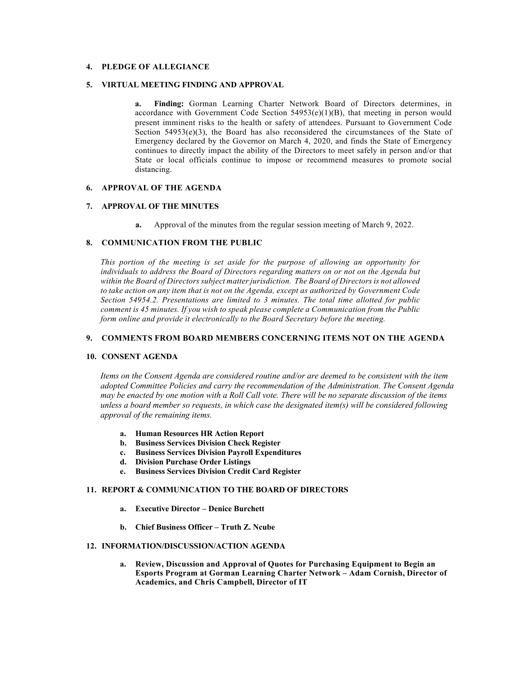## **4. PLEDGE OF ALLEGIANCE**

## **5. VIRTUAL MEETING FINDING AND APPROVAL**

**a. Finding:** Gorman Learning Charter Network Board of Directors determines, in accordance with Government Code Section 54953(e)(1)(B), that meeting in person would present imminent risks to the health or safety of attendees. Pursuant to Government Code Section  $54953(e)(3)$ , the Board has also reconsidered the circumstances of the State of Emergency declared by the Governor on March 4, 2020, and finds the State of Emergency continues to directly impact the ability of the Directors to meet safely in person and/or that State or local officials continue to impose or recommend measures to promote social distancing.

# **6. APPROVAL OF THE AGENDA**

# **7. APPROVAL OF THE MINUTES**

**a.** Approval of the minutes from the regular session meeting of March 9, 2022.

#### **8. COMMUNICATION FROM THE PUBLIC**

*This portion of the meeting is set aside for the purpose of allowing an opportunity for individuals to address the Board of Directors regarding matters on or not on the Agenda but within the Board of Directors subject matter jurisdiction. The Board of Directors is not allowed to take action on any item that is not on the Agenda, except as authorized by Government Code Section 54954.2. Presentations are limited to 3 minutes. The total time allotted for public comment is 45 minutes. If you wish to speak please complete a Communication from the Public form online and provide it electronically to the Board Secretary before the meeting.*

## **9. COMMENTS FROM BOARD MEMBERS CONCERNING ITEMS NOT ON THE AGENDA**

## **10. CONSENT AGENDA**

*Items on the Consent Agenda are considered routine and/or are deemed to be consistent with the item adopted Committee Policies and carry the recommendation of the Administration. The Consent Agenda may be enacted by one motion with a Roll Call vote. There will be no separate discussion of the items unless a board member so requests, in which case the designated item(s) will be considered following approval of the remaining items.*

- **a. Human Resources HR Action Report**
- **b. Business Services Division Check Register**
- **c. Business Services Division Payroll Expenditures**
- **d. Division Purchase Order Listings**
- **e. Business Services Division Credit Card Register**

## **11. REPORT & COMMUNICATION TO THE BOARD OF DIRECTORS**

- **a. Executive Director – Denice Burchett**
- **b. Chief Business Officer – Truth Z. Ncube**

## **12. INFORMATION/DISCUSSION/ACTION AGENDA**

**a. Review, Discussion and Approval of Quotes for Purchasing Equipment to Begin an Esports Program at Gorman Learning Charter Network – Adam Cornish, Director of Academics, and Chris Campbell, Director of IT**